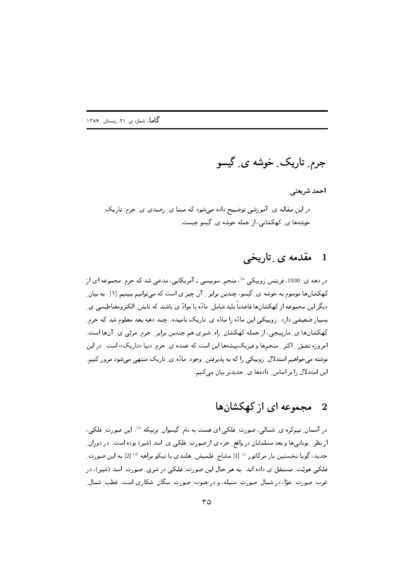جرم ِ تاريک ِ خوشه ي گيسو

احمد شريعتي در این مقاله ی ِ آموزشی توضیح داده می شود که مبنا ی ِ رصدی ی ِ جرم ِ تاریک ِ خوشهها ی ِ کهکشانی، از جمله خوشه ی ِ گیسو چیست.

#### مقدمه ی تاریخی  $\mathbf 1$

در دهه ی ِ 1930، فریتس زوییکی <sup>۵</sup>)، منجم ِ سوییسی ـ آمریکایی، مدعی شد که جرم ِ مجموعه ای از کهکشانها موسوم به خوشه ی ِ گیسو، چندین برابر ۱ ِ آن چیز ی است که می توانیم ببینیم [۱]. به بیان ِ دیگر این مجموعه از کهکشانها قاعدتاً باید شامل ِ مادّه یا موادّ ی باشند که تابش ِ الکتر ومغناطیسی ی بسیار ضعیفی دارد. زوییکی این مادّه را مادّه ی ِ تاریک نامیده. چند دهه بعد معلوم شد که جرم ِ کھکشانھا ی۔ ماریپچی، از جمله کھکشان ِ راہ ِ شیری هم چندین برابر ۔ جرم ِ مرئی ی ِ آنِها است. امروزه تصوّر <sub>-</sub> اکثر <sub>-</sub> منجمها و فیزیکپیشهها این است که عمده ی ِ جرم ِ دنیا «تاریک» است. در این نوشته می خواهیم استدلال ِ زوییکی را که به پذیرفتن ِ وجود ِ مادّه ی ِ تاریک منتهی می شود مرور کنیم. این استدلال را بر اساس دادهها ی جدیدتر بیان میکنیم.

#### مجموعه ای از کهکشانها  $\overline{\phantom{a}2}$

در آسمان ِ نیمکره ی ِ شمالی، صورت ِ فلکی ای هست به نام ِ گیسوان ِ برنیکه <sup>b)</sup>. این صورت ِ فلکی، از نظر ـِ یونانیها و بعد مسلمانان در واقع ِ جزء ی از صورت ِ فلکی ی ِ اسد (شیر) بوده است. در دوران ِ جدید، گویا نخستین بار مرکاتور °′ [1] مسّاح ِ فلِمیش ِ هلندی یا تیکو براهه <sup>4)</sup> [2] به این صورت ِ فلکی هویّت ِ مستقل ی داده اند. به هر حال این صورت ِ فلکی در شرق ِ صورت ِ اسد (شیر)، در غرب ِ صورت ِ عوّا، در شمال ِ صورتِ ِ سنبله، و در جنوب ِ صورتِ ِ سگان ِ شکاری است. قطب ِ شمال ِ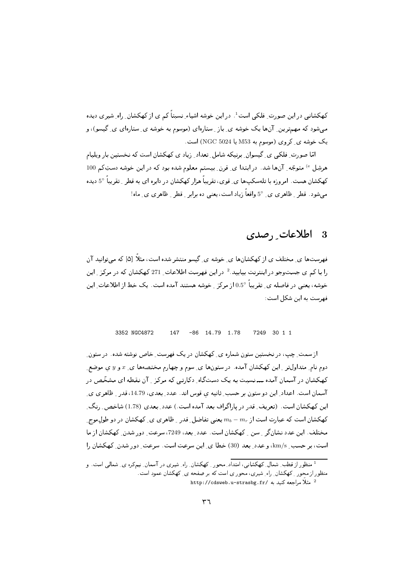کهکشانی در این صورت ِ فلکی است<sup>1</sup>. در این خوشه اشیاء ِ نسبتاً کم ی از کهکشان ِ راه ِ شیر ی دیده مبیشود که مهمترین ِ آنها یک خوشه ی ِ باز ِ ستارهای (موسوم به خوشه ی ِ ستارهای ی ِ گیسو)، و یک خوشه ی کروی (موسوم به M53 یا NGC 5024) است.

امّا صورت ِ فلکی ی گیسوان ِ پرنیکه شامل ِ تعداد ِ زیاد ی کهکشان است که نخستین بار ویلیام هرشِل <sup>6</sup>) متوجّه ِ آنها شد. در ابتدا ی ِ قرن ِ بیستم معلوم شده بود که در این خوشه دستِکم 100 کهکشان هست. امروزه با تلهسکپها ی ِ قوی، تقریباً هزار کهکشان در دایره ای به قطر ِ تقریباً 5° دیده میشود. قطر ِ ظاهری ی ِ 5° واقعاً زیاد است، یعنی ده برابر ِ قطر ِ ظاهری ی ِ ماه!

#### اطلاعات , صدى 3

فهرستها ی ِ مختلف ی از کهکشانها ی ِ خوشه ی ِ گیسو منتشر شده است، مثلاً [۵] که می توانید آن را با کم ی جستوجو در اینترنت بیابید.<sup>2</sup> در این فهرست اطلاعات 271 کهکشان که در مرکز <sub>ب</sub>این خوشه، یعنی در فاصله ی ِ تقریباً 0.5° از مرکز <sub>ی</sub> خوشه هستند آمده است. یک خط از اطلاعات این فهرست به این شکل است:

#### 3352 NGC4872 147  $-86$  14 79 1 78 7249 30 1 1

از سمت ِ چپ، در نخستین ستون شماره ی ِ کهکشان در یک فهرست ِ خاص نوشته شده . در ستون ِ دوم نام ِ متداولتر ِ این کهکشان آمده. در ستونها ی ِ سوم و چهارم مختصهها ی ِ x و y ی موضع ِ کهکشان در آسمان آمده ـــ نسبت به یک دستگاه ِ دکارتبی که مرکز ِ آن نقطه ای مشخّص در آسمان است. اعداد ِ این دو ستون بر حسب ِ ثانیه ی قوس اند. عدد ِ بعدی، 14.79، قدر ِ ظاهری ی ِ این کهکشان است. (تعریف ِ قدر در پاراگراف بعد آمده است.) عدد ِ بعدی (1.78) شاخص ِ رنگ ِ کهکشان است که عبارت است از  $m_b-m_e$  یعنی تفاضل ِ قدر ِ ظاهری ی ِ کهکشان در دو طول موج ِ مختلف. این عدد نشان گر 5 سن 5 کهکشان است. عدد بعد، 7249، سرعت دور شدن کهکشان از ما است، بر حسب ِ km/s، و عدد ِ بعد (30) خطا ي ِ اين سرعت است. سرعت ِ دور شدن ِ كهكشان را

<sup>&</sup>lt;sup>1</sup> منظور از قطب ِ شمال ِ کهکشانی، امتداد ِ محور ِ کهکشان ِ راه ِ شیری در آسمان ِ نیمکره ی ِ شمالی است. و منظور از محور ِ کهکشان ِ راه ِ شیری، محوری است که بر صفحه ی ِ کهکشان عمود است.

http://cdsweb.u-strasbg.fr/ مراجعه كنيد به /http://cdsweb.u-strasbg.fr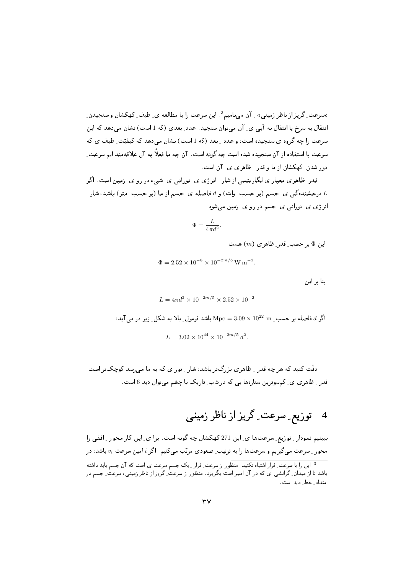«سرعت ِ گریز از ناظر زمینبی» به آن می نامیم<sup>3</sup>. این سرعت را با مطالعه ی ِ طیف ِ کهکشان و سنجیدن ِ انتقال به سرخ یا انتقال به آبی ی ِ آن می توان سنجید. عدد ِ بعدی (که 1 است) نشان می دهد که این سرعت را چه گروه ی سنجیده است، و عدد ۱ بعد (که 1 است) نشان می(دهد که کیفیّت طیف ی که سرعت با استفاده از آن سنجیده شده است چه گونه است. آن چه ما فعلاً به آن علاقهمند ایم سرعت ِ دور شدن ِ کهکشان از ما و قدر ِ ظاهری ی ِ آن است.

قدر ِ ظاهری معیار ی لگاریتمی از شار <sub>-</sub> انرژی ی ِ نورانبی ی ِ شیء در رو ی ِ زمین است. اگر درخشندهگی ی ِ جسم (بر حسب ِ وات) و d فاصله ی ِ جسم از ما (بر حسب ِ متر) باشد، شار ِ  $L$ انرژي ي۔ نوراني ي۔ جسم در رو ي۔ زمين مي شود

$$
\Phi = \frac{L}{4\pi d^2}.
$$

اين  $\Phi$ بر حسب قدر ظاهري  $(m)$  هست:

$$
\Phi = 2.52 \times 10^{-8} \times 10^{-2m/5} \,\mathrm{W\,m^{-2}}.
$$

بنا بر این

$$
L = 4\pi d^2 \times 10^{-2m/5} \times 2.52 \times 10^{-2}
$$

اگر  $d$  فاصله بر حسب  $10^{22} \text{ m} \times 10^{22} \text{ m}$  باشد فرمول بالا به شکل زیر در می آید:

$$
L = 3.02 \times 10^{44} \times 10^{-2m/5} d^2.
$$

دقّت کنید که هر چه قدر <sub>ب</sub> ظاهری بزرگ تر باشد، شار <sub>ب</sub> نوری که به ما می رسد کوچک تر است. قدر ِ ظاهری ی ِ کم سوترین ستارهها یی که در شب ِ تاریک با چشم میتوان دید 6 است.

ببینیم نمودار ِ توزیع ِ سرعتها ی ِ این 271 کهکشان چه گونه است. برا ی ِ این کار محور ِ افقی را محور ِ سرعت میگیریم و سرعتها را به ترتیب ِ صعودی مرتّب میکنیم. اگر i امین سرعت  $v_i$  باشد، در <sup>3</sup> این را با سرعت ِ فرار اشتباه نکنید. منظو ر از سرعت ِ فرار ِ یک جسم سرعت ی است که آن جسم باید داشته باشد تا از میدان ِ گرانشی ای که در آن اسیر است بگریزد. منظور از سرعت ِ گریز از ناظر زمینی، سرعت ِ جسم در امتداد ِ خط ِ دید است.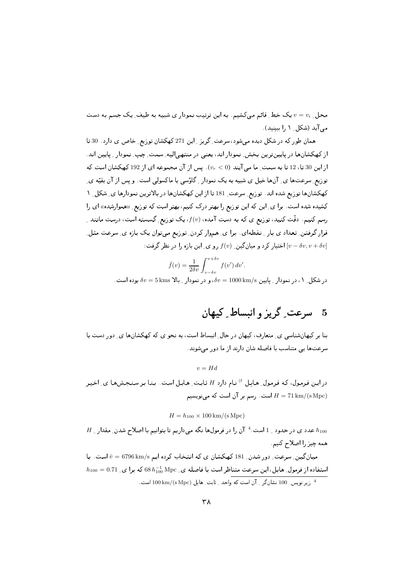محل ِ  $v=v_i$  یک خط ِ قائم می کشیم. به این ترتیب نمودار ی شبیه به طیف ِ یک جسم به دست می آید (شکل ِ ۱ را ببینید).

همان طور که در شکل دیده می شود، سرعت ِ گریز ِ این 271 کهکشان توزیع ِ خاص ی دارد. 30 تا از کهکشانها در پایین ترین بخش ِ نمودار اند، یعنی در منتهی الیه ِ سمت ِ چپ ِ نمودار ِ پایین اند. از این 30 تا، 12 تا به سمت ِ ما می آیند (vr < 0). پس از آن مجموعه ای از 192 کهکشان است که توزیع ِ سرعتها ی ِ آنها خیل ی شبیه به یک نمودار ِ گاؤسی یا ماکسولی است. و یس از آن بقیّه ی ِ کهکشانها توزیع شده اند. توزیع ِ سرعت ِ 181 تا از این کهکشانها در بالاترین نمودارها ی ِ شکل ِ ۱ کشیده شده است. برا ی ِ این که این توزیع را بهتر درک کنیم، بهتر است که توزیع ِ «هموارشده» ای را رسم کنیم. دقّت کنید، توزیع ی که به دست آمده،  $f(v)$ ، یک توزیع ِ گسسته است، درست مانند ِ قرار گرفتن ِ تعداد ی بار ِ نقطهای . برا ی ِ هموار کردن ِ توزیع میتوان یک بازه ی ِ سرعت مثل ِ اختیار کرد و میانگین ِ  $f(v)$ رو ی ِ این بازه را در نظر گرفت:  $[v-\delta v, v+\delta v]$ 

$$
\bar{f}(v) = \frac{1}{2\delta v} \int_{v-\delta v}^{v+\delta v} f(v') dv'.
$$
در شکلر ۱۰۰۰ (تیودار یایین ۵*0*0 km/s، و در نمودار یایین ۵۵۰ = 1000 km/s

### سرعت گريز و انبساط کيهان  $-5$

بنا بر کیهانشناسی ی ِ متعارف، کیهان در حال ِ انبساط است، به نحو ی که کهکشانها ی ِ دور دست با سرعتها یی متناسب با فاصله شان دارند از ما دور می شوند.

 $v = Hd$ 

در این فرمول، که فرمول ِ هابل <sup>f</sup> نام دارد H ثابت ِ هابل است. بنا بر سنجشها ی ِ اخیر است. رسم بر آن است که مینویسیم  $H = 71 \, \text{km} / (\text{s} \, \text{Mpc})$ 

$$
H = h_{100} \times 100 \,\mathrm{km}/(\mathrm{s}\,\mathrm{Mpc})
$$

 $H$  عدد ی در حدود 1 است. 4 آن را در فرمولها نگه میداریم تا بتوانیم با اصلاح شدن ِ مقدار  $h_{100}$ همه چیز را اصلاح کنیم.

میان گین ِ سرعت ِ دور شدن ِ 181 کھکشان ی که انتخاب کرده ایم 6796 km/s است. با  $h_{100} = 0.71$  استفاده از فرمول ِ هابل، این سرعت متناظر است با فاصله ی ِ 68 $h_{100}^{-1}$  68 که برا ی ِ

<sup>4</sup> زير نويس 100 نشان گر \_ آن است كه واحد \_ ثابت\_ هابل (httpc) 100 km/(s Mpc است.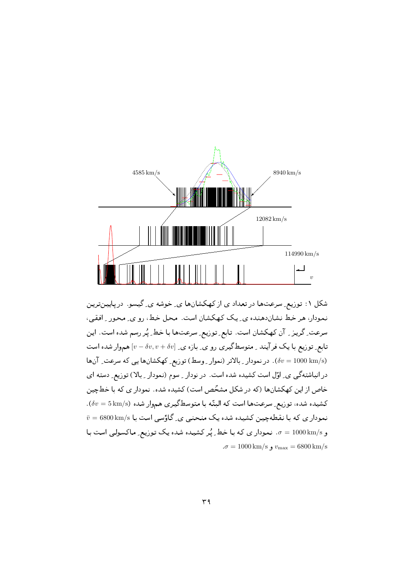

شکل ۱: توزیع ِ سرعتها در تعداد ی از کهکشانها ی ِ خوشه ی ِ گیسو. درپایینترین نمودار، هر خط نشان دهنده ي يک کهکشان است. محل خط، رو ي ِ محور ِ افقى، سرعت ِ گريـز \_ آن كـهكشان است. تابـع ِ توزيـع ِ سرعتـهـا بـا خط ِ پُر رسم شده است. ايـن تابع ِ توزیع با یک فرآیند ۔ متوسطگیری رو ی ِ بازہ ی ِ  $[v-\delta v, v+\delta v]$  هموار شده است (6v = 1000 km/s). در نمودار ـ بالاتر (نموار ـ وسط) توزیع ِ کهکشانها یی که سرعت ِ آنها درانباشتهگی ی ِ اوّل است کشیده شده است. در نودار ِ سوم (نمودار ِ بالا) توزیع ِ دسته ای خاص از این کهکشانها (که در شکل مشخّص است) کشیده شده. نمودار ی که با خطّچین  $\delta v = 5\,{\rm km}/{\rm s}$  كشيده شده، توزيع ِ سرعتها است كه البنّه با متوسط گيري هم وار شده (5  $\bar{v} = 6800 \, \mathrm{km/s}$  نموداری که با نقطهچین کشیده شده یک منحنبی ی ِگاؤسی است با و 5/o = 1000 km. نمودار ي كه با خط ٍ يُر كشيده شده يك توزيع ِ ماكسولي است با  $\sigma = 1000 \,\mathrm{km/s}$ ,  $v_{\rm max} = 6800 \,\mathrm{km/s}$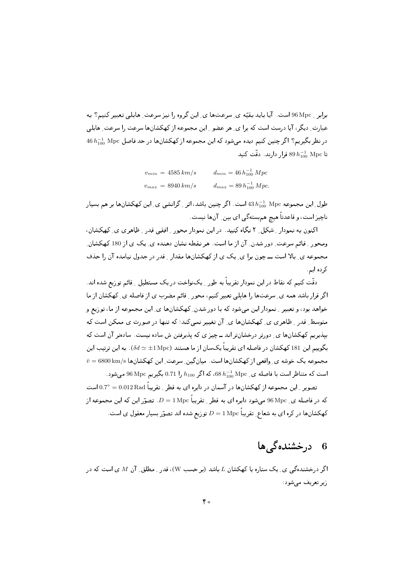برابر \_ 96 Mpc است. آیا باید بقیّه ی ِ سرعتها ی ِ این گروه را نیز سرعت ِ هابلی تعبیر کنیم؟ به عبارت ِ دیگر ، آیا درست است که برا ی ِ هر عضو ِ این مجموعه از کهکشانها سرعت را سرعت ِ هابلی 46 در نظر بگیریم؟ اگر چنین کنیم دیده می شود که این مجموعه از کهکشانها در حد فاصل Mpc Mpc 46  $h^{-1}_{100}$ تا  $h^{-1}_{100}$  Mpc قرار دارند. دقّت کنید

| $v_{min} = 4585 \, km/s$ | $d_{min} = 46 h_{100}^{-1} Mpc$  |
|--------------------------|----------------------------------|
| $v_{max} = 8940 \, km/s$ | $d_{max} = 89 h_{100}^{-1} Mpc.$ |

طول ِ این مجموعه Mpc  $h^{-1}_{100}$  43 است. اگر چنین باشد، اثر ِ گرانشی ی ِ این کهکشانها بر هم بسیار ناچيز است، و قاعدتاً هيچ هم بسته گي اي بين ِ آنها نيست.

اکنون به نمودار ِ شکل ِ ۲ نگاه کنید. در این نمودار محور ِ افقی قدر ِ ظاهری ی ِ کهکشان، ومحور ِ قائم سرعت ِ دور شدن ِ آن از ما است. هر نقطه نشان دهنده ی ِ یک ی از 180 کهکشان ِ مجموعه ی بالا است ـــ چون برا ی یک ی از کهکشانها مقدار ِ قدر در جدول نیامده آن را حذف کر دہ ایم

دقّت کنیم که نقاط در این نمودار تقریباً به طور ـ یک نواخت در یک مستطیل \_ قائم توزیع شده اند. اگر قرار باشد همه ی ِ سرعتها را هابلی تعبیر کنیم، محور ِ قائم مضرب ی از فاصله ی ِ کهکشان از ما خواهد بود، و تعبیر ِ نمودار این می شود که با دور شدن ِ کهکشانها ی ِ این مجموعه از ما، توزیع و متوسط ِ قدر ِ ظاهری ی ِ کهکشانها ی ِ آن تغییر نمیکند؛ که تنها در صورت ی ممکن است که بپذیریم کهکشانها ی ِ دورتر درخشانتر اند ــ چیز ی که پذیرفتن ش ساده نیست. سادهتر آن است که بگوییم این 181 کهکشان در فاصله ای تقریباً یکسان از ما هستند  $\delta d \simeq \pm 1\,{\rm Mpc}$ ). به این ترتیب این  $\bar{v} = 6800 \, \mathrm{km/s}$  مجموعه یک خوشه ی ِ واقعی از کهکشانها است. میانگین ِ سرعت ِ این کهکشانها است که متناظر است با فاصله ی ـ 68 h-10 ،68، که اگر 1100 h را 0.71 بگیریم 96 Mpc می شود .

تصویر \_ این مجموعه از کهکشانها در آسمان در دایره ای به قطر \_ تقریباً 0.012 Rad 0.7° است که در فاصله ی ِ Mpcو میشود دایره ای به قطر ِ تقریباً D = 1 Mpc تصوّر این که این مجموعه از کهکشانها در کره ای به شعاع ِ تقریباً  $D=1\,{\rm Mpc}$  توریع شده اند تصوّر بسیار معقول ی است.

## 6 درخشندهگی ها

اگر درخشندهگی ی ِ یک ستاره یا کهکشان  $L$  باشد (بر حسب W)، قدر ِ مطلق ِ آن M ی است که در زیر تعریف مے شود: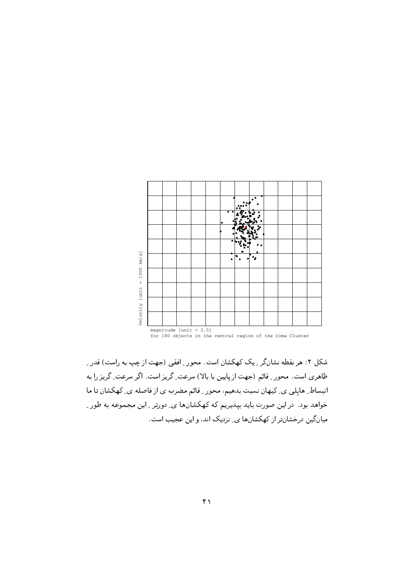

for 180 objects in the central region of the Coma Cluster

شکل ۲: هر نقطه نشانگر ـِ یک کهکشان است. محور ـِ افقی (جهت از چپ به راست) قدر ـ ت سرعت است. " عام السلام التي تقد التي تعدد المستقل التي تعدد المستقل التي تعدد المستقل التي التي تعدد التي تع انبساف التوسي الماليوس للسبب بتاسيم المحتوز الانحسر المسترب الماليون المستخدم المستخدم المستخدم المس خواهد بود. در این صورت باید بپذیریم که کهکشانها ی ِ دورتر ِ این مجموعه به طور ِ میں ٹین ڈرسسانٹر از کھنساںت کی ٹریپٹ اسٹ اور این عجیب اسٹ.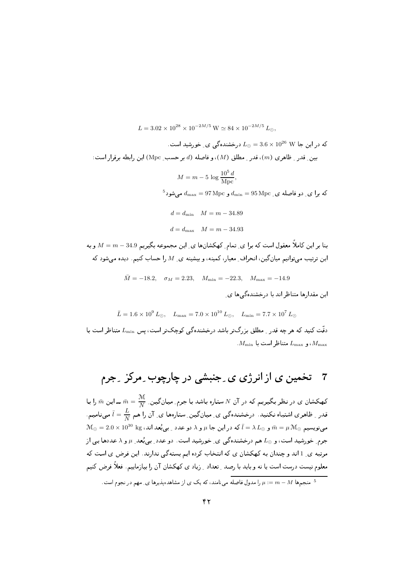$$
L = 3.02 \times 10^{28} \times 10^{-2M/5} \,\mathrm{W} \simeq 84 \times 10^{-2M/5} \, L_{\odot},
$$

. که در این جا $10^{26} \, \mathrm{W} \, \mathrm{M}^{-26}$  درخشندهگی ی ِ خورشید است بين ِ قدر ِ ظاهر ي (m)، قدر ِ مطلق (M)، و فاصله (d بر حسب ِ Mpc) اين رابطه برقرار است:

$$
M = m - 5 \log \frac{10^5 d}{\text{Mpc}},
$$

 $^5$ که برا ی ِ دو فاصله ی ِ  $d_{\min} = 95\,{\rm Mpc}$  و  $d_{\max} = 97\,{\rm Mpc}$  می شود

 $d = d_{\min}$   $M = m - 34.89$  $d = d_{\text{max}}$   $M = m - 34.93$ 

بنا بر این کاملاً معقول است که برا ی ِ تمام ِ کهکشانها ی ِ این مجموعه بگیریم 34.9 –  $M=m-3$  و به این ترتیب میتوانیم میان گین، انحراف ِ معیار، کمینه، و بیشینه ی ِ M را حساب کنیم. دیده میشود که

$$
\bar{M} = -18.2, \quad \sigma_M = 2.23, \quad M_{\min} = -22.3, \quad M_{\max} = -14.9
$$
این مقدارها متناظر اند با درخشندهگیها ی۔

$$
\bar{L} = 1.6 \times 10^9 L_{\odot}
$$
,  $L_{\text{max}} = 7.0 \times 10^{10} L_{\odot}$ ,  $L_{\text{min}} = 7.7 \times 10^7 L_{\odot}$ 

دقّت کنید که هر چه قدر <sub>-</sub> مطلق بزرگتر باشد درخشندهگی کوچکتر است، پس L<sub>min</sub> متناظر است با  $M_{\rm min}$  ،  $L_{\rm max}$  متناظر است با  $M_{\rm max}$ 

کهکشان ی در نظر بگیریم که در آن  $N$  ستاره باشد با جرم ِ میانگین ِ  $\bar{m}=\frac{\mathfrak{M}}{\Delta}$  ــ این  $\bar{m}$  را با قدر ِ ظاهری اشتباه نکنید. درخشندهگی ی ِ میانگین ِ ستارهها ی ِ آن را هم  $\bar{l}=\bar{l}$  مینامیم.  $\mathcal{M}_{\odot}=2.0\times10^{30}~{\rm kg}$  مینویسیم  $\bar{m}=\mu$  و  $\lambda\,L$ ه در این جا  $\mu$  و  $\lambda\,L$  دو عدد ِ بی بُعد اند، M $_{\odot}$   $\bar{m}=\mu$   $\mathcal{M}_{\odot}$ جرم خورشید است، و  $L_\odot$  هم درخشندهگی ی ِ خورشید است. دو عدد ِ بی بُعد ِ  $\mu$  و ۸ عددها یی از مرتبه ي ِ 1 اند و چندان به كهكشان ي كه انتخاب كرده ايم بسته گي ندارند. اين فرض ي است كه معلوم نیست درست است یا نه و باید با رصد \_ تعداد \_ زیاد ی کهکشان آن را بیازماییم. فعلاً فرض کنیم

منجمها  $\mu := m - M$  را مدول فاصله می نامند، که یک ی از مشاهدهپذیرها ی ِ مهم در نجوم است.  $\mu := m - M$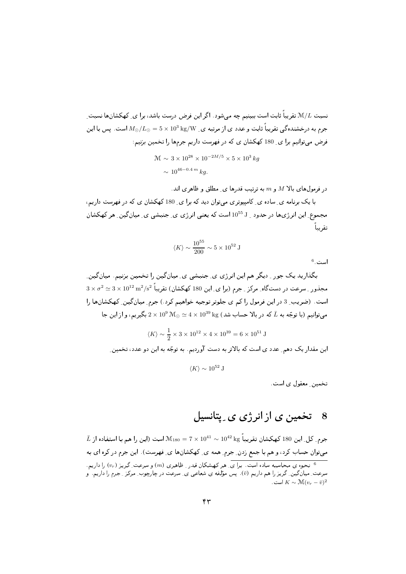نسبت  $\mathcal{M}/L$  تقریباً ثابت است ببینیم چه می شود . اگر این فرض درست باشد، برا ی ِ کهکشانها نسبت ِ جرم به درخشندهگی تقریباً ثابت و عدد ی از مرتبه ی  $\rm k g/W > 5\times 10^3\, kg$  است. پس با این فرض می توانیم برا ی ِ 180 کهکشان ی که در فهرست داریم جرمها را تخمین بزنیم:

$$
\mathcal{M} \sim 3 \times 10^{28} \times 10^{-2M/5} \times 5 \times 10^3 kg
$$
  
 
$$
\sim 10^{46 - 0.4 m} kg.
$$

د, فرمولهای بالا M و  $m$  به ترتیب قدرها ی مطلق و ظاهری اند.

با یک برنامه ی ِ ساده ی ِ کامپیوتری می توان دید که برا ی ِ 180 کهکشان ی که در فهرست داریم، مجموع این انرژیها در حدود <sub>بـ</sub> 10<sup>55</sup> است که یعنبی انرژی ی ِ جنبشی ی ِ میان گین ِ هر کهکشان تقريبا

$$
\langle K \rangle \sim \frac{10^{55}}{200} \sim 5 \times 10^{52} \text{ J}
$$

است. 6

بگذارید یک جور ِ دیگر هم این انرژی ی ِ جنبشی ی ِ میان گین را تخمین بزنیم. میان گین ِ  $3\times\sigma^2\simeq 3\times 10^{12}\,{\rm m^2/s^2}$  مجذور ِ سرعت در دستگاه ِ مرکز ِ جرم (برا ی ِ این 180 کهکشان) تقریباً  $^{-2}$ است. (ضریب ِ 3 در این فرمول را کم ی جلوتر توجیه خواهیم کرد.) جرم ِ میان گین ِ کهکشانها را میتوانیم (با توجّه به  $\bar L$  که در بالا حساب شد) kg kg میتوانیم، و از این جا $2\times 10^9\,\rm{M}_\odot \simeq 4\times 10^{39}\,$  kg

$$
\langle K \rangle \sim \frac{1}{2} \times 3 \times 10^{12} \times 4 \times 10^{39} = 6 \times 10^{51} \text{ J}
$$

این مقدار یک دهم ِ عدد ی است که بالاتر به دست آوردیم. به توجّه به این دو عدد، تخمین ِ

 $\langle K \rangle \sim 10^{52}$  J

تخمین ِ معقول ی است.

#### تخمین ی از انرژی ی ِ پتانسیل - 8

 $\bar{L}$  جرم ِ كل ِ اين 180 كهكشان تقريباً 58 $\sim 10^{42} \times 10^{41} \sim 10^{42}$  است (اين را هم با استفاده از میتوان حساب کرد، و هم با جمع زدن ِ جرم ِ همه ی ِ کهکشانها ی ِ فهرست). این جرم در کره ای به نحوه ی محاسبه ساده است. برای ِ هر کهشکان قدر ِ ظاهری  $(m)$  و سرعت ِ گریز  $(v_r)$  را داریم. سرعت ِ میان گین ِ گریز را هم داریم (ō). پس مؤلفه یِ شعاعی ی ِ سرعت در چارچوب ِ مرکز ِ جرم را داریم. و است.  $K \sim \mathcal{M}(v_r - \bar{v})^2$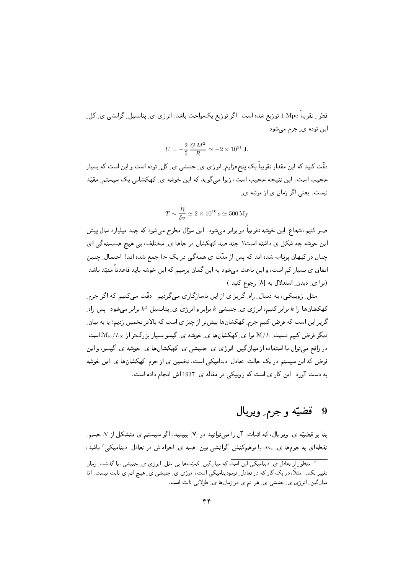قطر ِ تقریباً Mpc I توزیع شده است. اگر توزیع یکنواخت باشد، انرژی ی ِ پتانسیل ِ گرانشی ی ِ کل ِ این توده ی ِ جرم میشود

$$
U = -\frac{2}{5} \frac{GM^2}{R} \simeq -2 \times 10^{51} \text{ J}.
$$

دقّت کنید که این مقدار تقریباً یک پنجهزارم ِ انرژی ی ِ جنبشی ی ِ کل ِ توده است و این است که بسیار عجیب است. این نتیجه عجیب است، زیرا میگوید که این خوشه ی ِ کهکشانی یک سیستم ِ مقیّد نیست. یعنی اگر زمان ی از مرتبه ی ِ

$$
T \sim \frac{R}{\delta v} \simeq 2 \times 10^{16} \,\mathrm{s} \simeq 500 \,\mathrm{My}
$$

صبر کنیم، شعاع ِ این خوشه تقریباً دو برابر میشود . این سؤال مطرح میشود که چند میلیارد سال پیش این خوشه چه شکل ی داشته است؟ چند صد کهکشان در جاها ی ِ مختلف، بی هیچ همبستهگی ای چنان در کیهان پرتاب شده اند که پس از مدّت ی همهگی در یک جا جمع شده اند! احتمال ِ چنین اتفاق ی بسیار کم است، و این باعث می شود به این گمان برسیم که این خوشه باید قاعدتاً مقیّد باشد. (برا ی دیدن ِ استدلال به [٨] رجوع کنید.)

مثل ِ زوییکی، به دنبال ِ راه ِ گریز ی از این ناسازگاری میگردیم. دقّت میکنیم که اگر جرم ِ کهکشانها را  $k$  برابر کنیم، انرژی ی ِ جنبشی  $k$  برابر و انرژی ی ِ پتانسیل  $k^2$  برابر میشود. پس راه گریز این است که فرض کنیم جرم ِ کهکشانها بیش تر از چیز ی است که بالاتر تخمین زدیم؛ یا به بیان ِ دیگر فرض کنیم نسبت ِ M/L برا ی ِ کهکشانها ی ِ خوشه ی ِ گیسو بسیار بزرگتر از  $\mathcal{M}_{\odot}/L_{\odot}$  است. در واقع میتوان با استفاده از میانگین ِ انرژی ی ِ جنبشی ی ِ کهکشانها ی ِ خوشه ی ِ گیسو، و این فرض که این سیستم در یک حالت ِ تعادل ِ دینامیکی است، تخمین ی از جرم ِ کهکشانها ی ِ این خوشه به دست آورد. این کار ی است که زوییکی در مقاله ی ِ 1937 اش انجام داده است.

#### قضيّه و جرم ِ ويريال - 9

بنا بر قضیّه ی ِ ویریال، که اثبات ِ آن را میتوانید در [۷] ببینید، اگر سیستم ی متشکل از N جسم ِ نقطهای به جرمها ی ِ ،m، با برهمکنش ِ گرانشی بین ِ همه ی ِ اجزاء ش در تعادل ِ دینامیکی آ باشد،

<sup>۔&</sup>lt;br>7 منظو , از تعادل ی ِ دینامیکے , این است که میانگین ِ کمیّتها یی مثل ِ انرژی ی ِ جنبشی، با گذشت ِ زمان تغییر نکند. مثلاً، در یک گاز که در تعادل ِ ترمودینامیکی است، انرژی ی ِ جنبشی ی ِ هیبچ اتم ی ثابت نیست، امّا میان گین ِ انرژی ی ِ جنبشی ی ِ هر اتم ی در زمان ها ی ِ طولانی ثابت است.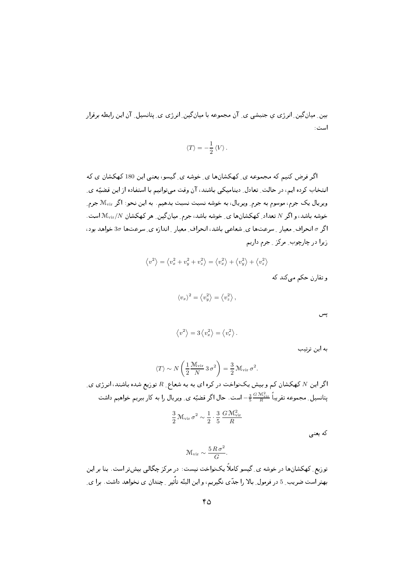بین ِ میان گین ِ انرژی ی جنبشی ی ِ آن مجموعه با میان گین ِ انرژی ی ِ پتانسیل ِ آن این رابطه برقرار است :

$$
\left\langle T\right\rangle =-\frac{1}{2}\left\langle V\right\rangle .
$$

اگر فرض کنیم که مجموعه ی کهکشانها ی خوشه ی گیسو، یعنی این 180کهکشان ی که انتخاب کرده ایم، در حالت ِ تعادل ِ دینامیکی باشند، آن وقت می توانیم با استفاده از این قضیّه ی ِ ویریال یک جرم، موسوم به جرم ِ ویریال، به خوشه نسبت نسبت بدهیم. به این نحو: اگر M<sub>vir</sub> جرم ِ خوشه باشد، و اگر N تعداد ِ کهکشانها ی ِ خوشه باشد، جرم ِ میان گین ِ هر کهکشان M $_{\rm vir}/N$  است. اگر 6 انحراف ِ معیار ِ سرعتها ی ِ شعاعی باشد، انحراف ِ معیار ِ اندازه ی ِ سرعتها 30 خواهد بود، زيرا در چارچوب ِ مرکز ِ جرم داريم

$$
\langle v^2 \rangle = \langle v_x^2 + v_y^2 + v_z^2 \rangle = \langle v_x^2 \rangle + \langle v_y^2 \rangle + \langle v_z^2 \rangle
$$

و تقارن حکم می کند که

$$
\langle v_x \rangle^2 = \langle v_y^2 \rangle = \langle v_z^2 \rangle
$$

پس

$$
\left\langle v^2\right\rangle = 3\left\langle v_x^2\right\rangle = \left\langle v_r^2\right\rangle.
$$

به این ترتیب

$$
\langle T \rangle \sim N \left( \frac{1}{2} \frac{\mathcal{M}_{\rm vir}}{N} 3 \sigma^2 \right) = \frac{3}{2} \mathcal{M}_{\rm vir} \sigma^2.
$$
 اگر این  $N$  کهکشان کم و بیش یکنواخت در کره ای به به شعاع\_ R توریع شده باشند، انرزی ی تانسیل ی مجموعه تقریباً تشزیاً - است. حال اگر قضیّه ی\_ ویریال را به کار ببریم خواهیم داشت  
تیانسیل ۔ مجموعه تقریباً تشیزیاً تی
$$
\frac{3}{2} \mathcal{M}_{\rm vir} \sigma^2 \sim \frac{1}{2} \cdot \frac{3}{5} \frac{G \mathcal{M}_{\rm vir}^2}{R}
$$

که یعنی

$$
\mathcal{M}_{\rm vir} \sim \frac{5 R \sigma^2}{G}.
$$

توریع ِ کهکشانها در خوشه ی ِ گیسو کاملاً یکنواخت نیست: در مرکز چگالی بیشتر است. بنا بر این بهتر است ضریب ِ 5 در فرمول ِ بالا را جدّي نگيريم، و اين البتّه تأثير ِ چندان ي نخواهد داشت. برا ي ِ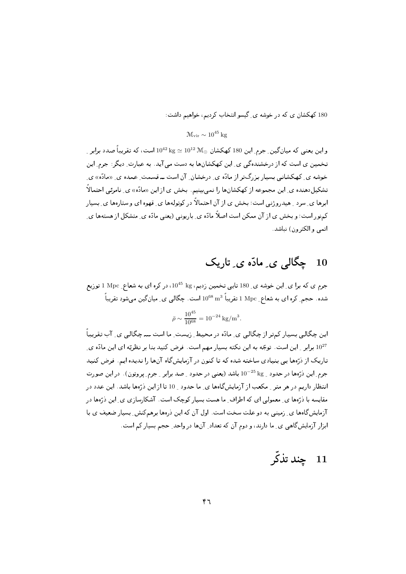180 کهکشان ی که در خوشه ی گیسو انتخاب کردیم، خواهیم داشت:

 $\mathcal{M}_{\rm vir} \sim 10^{45}\,\rm kpc$ 

و این یعنی که میان گین ِ جرم ِ این 180 کهکشان  $\rm M_{\odot}$   $\rm k g\simeq10^{42}~k g\simeq10^{42}$  است، که تقریباً صدد برابر تخمین ی است که از درخشندهگی ی ِ این کهکشانها به دست می آید. به عبارت ِ دیگر : جرم ِ این خوشه ی ِ کهکشانی بسیار بزرگتر از مادّه ی ِ درخشان ِ آن است ــ قسمت ِ عمده ی ِ «مادّه» ی تشکیلدهنده ی ِ این مجموعه از کهکشانها را نمی بینیم. بخش ی از این «مادّه» ی ِ نامرئی احتمالاً ابرها ی ِ سرد ِ هیدروژنی است؛ بخش ی از آن احتمالاً در کوتولهها ی ِ قهوه ای و ستارهها ی ِ بسیار کمنور است؛ و بخش ی از آن ممکن است اصلاً مادّه ی ِ باریونی (یعنی مادّه ی ِ متشکل از هستهها ی ِ اتمي و الكترون) نياشد.

# 10 چگالی ی ِ مادّہ ی ِ تاریک

جرم ی که برا ی ِ این خوشه ی ِ 180 تایی تخمین زدیم، L0<sup>45</sup> kg در کره ای به شعاع ِ Mpc 1 توریع شده. حجم ِ کره ای به شعاع ِ Mpc 1 تقریباً  $\rm{m}^{3}$   $\rm{m}^{3}$  است. چگالی ی ِ میانگین می شود تقریباً  $\rm{1~Mpc}$ 

$$
\bar{\rho} \sim \frac{10^{45}}{10^{68}} = 10^{-24} \text{ kg/m}^3.
$$

این چگالی بسیار کمتر از چگالی ی ِ مادّه در محیط ِ زیست ِ ما است ــــ چگالی ی ِ آب تقریباً ارابر و این است. توجّه به این نکته بسیار مهم است. فرض کنید بنا بر نظریّه ای این مادّه ی این می تاریک از ذرّهها یی بنیادی ساخته شده که تا کنون در آزمایشگاه آنها را ندیده ایم. فرض کنید جرم ِ این ذرِّهها در حدود \_ kg 10<sup>-25</sup> باشد (یعنی در حدود \_ صد برابر \_ جرم ِ پروتون). در این صورت انتظار داریم در هر متر \_ مکعب از آزمایشگاهها ی\_ ما حدود \_ 10 تا از این ذرّهها باشد. این عدد در مقایسه با ذرَّهها ی ِ معمولی ای که اطراف ِ ما هست بسیار کوچک است. آشکارسازی ی ِ این ذرِّهها در آزمایشگاهها ی ِ زمینی به دو علت سخت است. اول آن که این ذرهها برهمکنش ِ بسیار ضعیف ی با ابزار آزمایشگاهی ی ِ ما دارند، و دوم آن که تعداد ِ آنها در واحد ِ حجم بسیار کم است.

#### چند تذکّر  $11$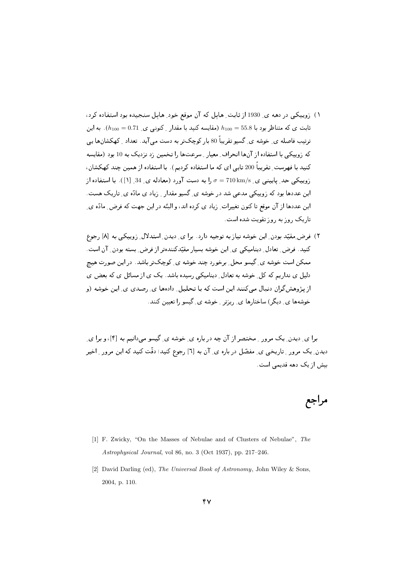- ۱) زوییکی در دهه ی ِ 1930 از ثابت ِ هایِل که ان موقع خود ِ هایِل سنجیده بود استفاده کرد، ثابت ی که متناظر بود با 55.8  $h_{100} = h_{100} = \frac{h_{100}}{h_{100}} = 5$ . به این ترتیب فاصله ی ِ خوشه ی ِ کسیو تقریبا 80 بار کوچک تر به دست می اید. تعداد ِ کهکشانها یی که زوییکی با استفاده از آنها انحراف ِ معیار ِ سرعتها را تخمین زد نزدیک به 10 بود (مقایسه كنيـد بـا فـهـرست\_ تـقريبـا 200 تايبي اي كـه مـا استفـاده كرديـم). بـا استفـاده از هـميـن چـنـد كـهـكشان، زوییکی حد ِ پایینی ی ِ z10 km/s ک ص استفاده از ( معادله ی ِ 34 ِ [۱]). با استفاده از ( است المساوات المستوفي المستوفي المستوفي المستوفي المستوفي المستوفي المستوفي المستوفي المستوفي المستو \*  v\$ 6 45 
 0 \*J 2 - 6 b ""X 36 1 3I /- 
 - M 2 0 2 0 > 0
- لا الرابع المستول التي المستول المراجع المستول المتعادل المستول المستول المستول المستول المستول المستول المستو . از آن داده است است از در است است از از است است از داده است است است از من است از است از است از است از است است "/ b0 
 0 - >6 - 0 -+ K"% 
7? C& 6 -]K > - -"0 7" R& -6 6 T 0 - -" 2c 
 -0 / -" =+ 6 
 - 6 R J 3 %G/2D ) ر پی د کار د کار د او د او د او د او د می د او د می د او د می کند و می کند و می کند و این می کند و این می کند <br>محمد او معاملات است که د او می کند و او می کند و می کند و می کند و می کند و می کند و می کند و می کند و می کند

 2 ^j\_ T"  K"% 0 0 3I UE 02 > 3- ست المستحدة المستحدث المستخدمات المستخدمات المستخدمات المستخدمات المستخدمات المستخدمات المستخدمات المستخدمات ا ?-1 / > G"

### مراجع

- [1] F. Zwicky, "On the Masses of Nebulae and of Clusters of Nebulae", *The Astrophysical Journal*, vol 86, no. 3 (Oct 1937), pp. 217–246.
- [2] David Darling (ed), *The Universal Book of Astronomy*, John Wiley & Sons, 2004, p. 110.